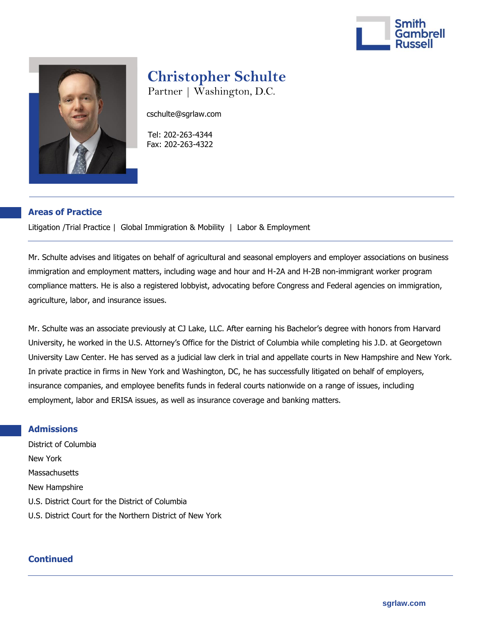



## **Christopher Schulte**

Partner | Washington, D.C.

cschulte@sgrlaw.com

 Tel: 202-263-4344 Fax: 202-263-4322

## **Areas of Practice**

Litigation /Trial Practice | Global Immigration & Mobility | Labor & Employment

Mr. Schulte advises and litigates on behalf of agricultural and seasonal employers and employer associations on business immigration and employment matters, including wage and hour and H-2A and H-2B non-immigrant worker program compliance matters. He is also a registered lobbyist, advocating before Congress and Federal agencies on immigration, agriculture, labor, and insurance issues.

Mr. Schulte was an associate previously at CJ Lake, LLC. After earning his Bachelor's degree with honors from Harvard University, he worked in the U.S. Attorney's Office for the District of Columbia while completing his J.D. at Georgetown University Law Center. He has served as a judicial law clerk in trial and appellate courts in New Hampshire and New York. In private practice in firms in New York and Washington, DC, he has successfully litigated on behalf of employers, insurance companies, and employee benefits funds in federal courts nationwide on a range of issues, including employment, labor and ERISA issues, as well as insurance coverage and banking matters.

## **Admissions**

District of Columbia New York **Massachusetts** New Hampshire U.S. District Court for the District of Columbia U.S. District Court for the Northern District of New York

## **Continued**